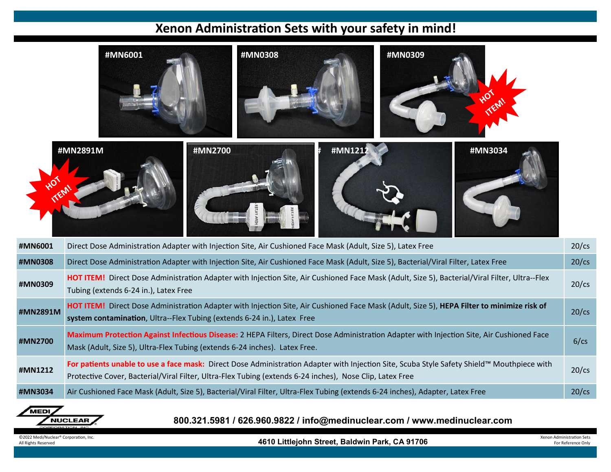## **Xenon Administration Sets with your safety in mind!**

|                                                                                                    | #MN6001<br>#MN0308<br>#MN0309                                                                                                                                                                                                                          |        |  |         |          |
|----------------------------------------------------------------------------------------------------|--------------------------------------------------------------------------------------------------------------------------------------------------------------------------------------------------------------------------------------------------------|--------|--|---------|----------|
|                                                                                                    | #MN2700<br>#MN2891M                                                                                                                                                                                                                                    | #MN121 |  | #MN3034 |          |
| #MN6001                                                                                            | Direct Dose Administration Adapter with Injection Site, Air Cushioned Face Mask (Adult, Size 5), Latex Free                                                                                                                                            |        |  |         | $20$ /cs |
| #MN0308                                                                                            | Direct Dose Administration Adapter with Injection Site, Air Cushioned Face Mask (Adult, Size 5), Bacterial/Viral Filter, Latex Free                                                                                                                    |        |  |         | $20$ /cs |
| #MN0309                                                                                            | HOT ITEM! Direct Dose Administration Adapter with Injection Site, Air Cushioned Face Mask (Adult, Size 5), Bacterial/Viral Filter, Ultra--Flex<br>Tubing (extends 6-24 in.), Latex Free                                                                |        |  |         | $20$ /cs |
| #MN2891M                                                                                           | HOT ITEM! Direct Dose Administration Adapter with Injection Site, Air Cushioned Face Mask (Adult, Size 5), HEPA Filter to minimize risk of<br>system contamination, Ultra--Flex Tubing (extends 6-24 in.), Latex Free                                  |        |  |         | $20$ /cs |
| #MN2700                                                                                            | Maximum Protection Against Infectious Disease: 2 HEPA Filters, Direct Dose Administration Adapter with Injection Site, Air Cushioned Face<br>Mask (Adult, Size 5), Ultra-Flex Tubing (extends 6-24 inches). Latex Free.                                |        |  |         | 6/cs     |
| #MN1212                                                                                            | For patients unable to use a face mask: Direct Dose Administration Adapter with Injection Site, Scuba Style Safety Shield™ Mouthpiece with<br>Protective Cover, Bacterial/Viral Filter, Ultra-Flex Tubing (extends 6-24 inches), Nose Clip, Latex Free |        |  |         | $20$ /cs |
| #MN3034                                                                                            | Air Cushioned Face Mask (Adult, Size 5), Bacterial/Viral Filter, Ultra-Flex Tubing (extends 6-24 inches), Adapter, Latex Free                                                                                                                          |        |  |         | $20$ /cs |
| MEDI<br><b>NUCLEAR</b><br>800.321.5981 / 626.960.9822 / info@medinuclear.com / www.medinuclear.com |                                                                                                                                                                                                                                                        |        |  |         |          |

©2022 Medi/Nuclear® Corporation, Inc. Note and Munistration Sets (Network of The Street, Baldwin Park, CA 91706 **Distriction Sets** For Reference Only